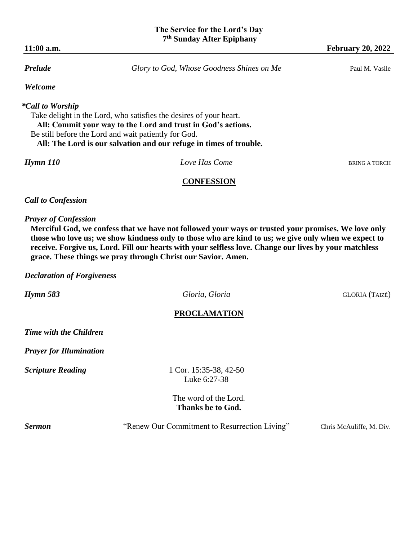# **11:00 a.m. February 20, 2022 Prelude Glory to God, Whose Goodness Shines on Me** Paul M. Vasile *Welcome \*Call to Worship*  Take delight in the Lord, who satisfies the desires of your heart.  **All: Commit your way to the Lord and trust in God's actions.**  Be still before the Lord and wait patiently for God.  **All: The Lord is our salvation and our refuge in times of trouble.**

*Hymn 110 Love Has Come* **BRING A TORCH** 

# **CONFESSION**

# *Call to Confession*

# *Prayer of Confession*

**Merciful God, we confess that we have not followed your ways or trusted your promises. We love only those who love us; we show kindness only to those who are kind to us; we give only when we expect to receive. Forgive us, Lord. Fill our hearts with your selfless love. Change our lives by your matchless grace. These things we pray through Christ our Savior. Amen.**

#### *Declaration of Forgiveness*

*Hymn 583 Gloria, Gloria Gloria Gloria GLORIA* (TAIZÉ)

# **PROCLAMATION**

*Time with the Children* 

*Prayer for Illumination* 

**Scripture Reading** 1 Cor. 15:35-38, 42-50 Luke 6:27-38

> The word of the Lord. **Thanks be to God.**

**Sermon** "Renew Our Commitment to Resurrection Living" Chris McAuliffe, M. Div.